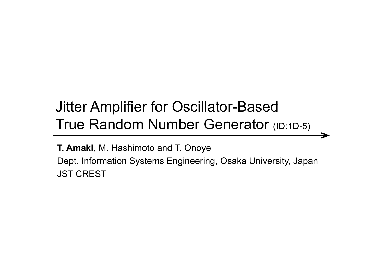#### Jitter Amplifier for Oscillator-Based True Random Number Generator (ID:1D-5)

**T. Amaki**, M. Hashimoto and T. Onoye Dept. Information Systems Engineering, Osaka University, Japan JST CREST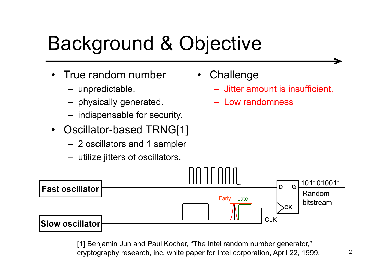# Background & Objective

- • True random number
	- unpredictable.
	- physically generated. –
	- indispensable for security.
- •Oscillator-based TRNG[1]
	- 2 oscillators and 1 sampler
	- utilize jitters of oscillators.
- $\bullet$ **Challenge** 
	- Jitter amount is insufficient.
	- Low randomness



[1] Benjamin Jun and Paul Kocher, "The Intel random number generator," cryptography research, inc. white paper for Intel corporation, April 22, 1999.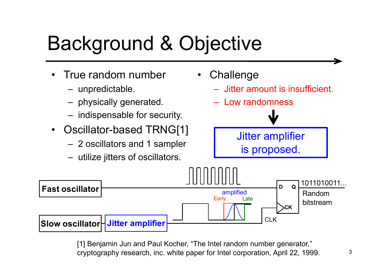# Background & Objective

- • True random number
	- unpredictable.
	- physically generated. –
	- indispensable for security.
- •Oscillator-based TRNG[1]
	- 2 oscillators and 1 sampler
	- utilize jitters of oscillators.
- •**Challenge** 
	- Jitter amount is insufficient.
	- Low randomness

<sup>J</sup>itter amplifier is proposed.



[1] Benjamin Jun and Paul Kocher, "The Intel random number generator," cryptography research, inc. white paper for Intel corporation, April 22, 1999.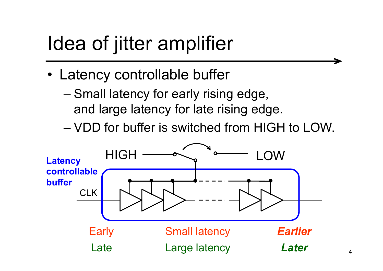### Idea of jitter amplifier

- • Latency controllable buffer
	- – Small latency for early rising edge, and large latency for late rising edge.
	- VDD for buffer is switched from HIGH to LOW.